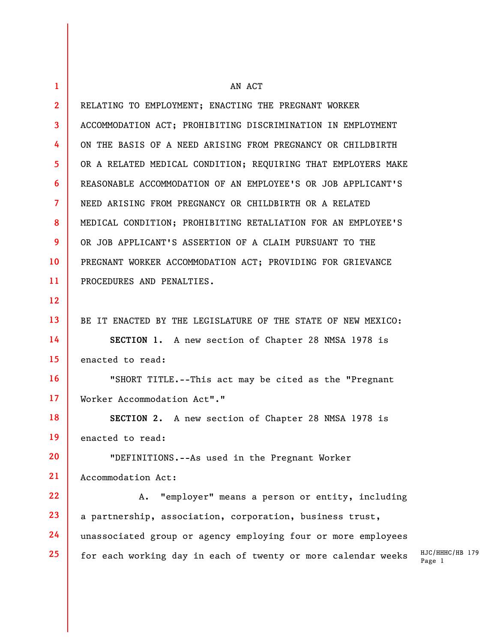| 1               | AN ACT                                                                                     |
|-----------------|--------------------------------------------------------------------------------------------|
| $\mathbf{2}$    | RELATING TO EMPLOYMENT; ENACTING THE PREGNANT WORKER                                       |
| 3               | ACCOMMODATION ACT; PROHIBITING DISCRIMINATION IN EMPLOYMENT                                |
| 4               | ON THE BASIS OF A NEED ARISING FROM PREGNANCY OR CHILDBIRTH                                |
| 5               | OR A RELATED MEDICAL CONDITION; REQUIRING THAT EMPLOYERS MAKE                              |
| 6               | REASONABLE ACCOMMODATION OF AN EMPLOYEE'S OR JOB APPLICANT'S                               |
| $\overline{7}$  | NEED ARISING FROM PREGNANCY OR CHILDBIRTH OR A RELATED                                     |
| 8               | MEDICAL CONDITION; PROHIBITING RETALIATION FOR AN EMPLOYEE'S                               |
| 9               | OR JOB APPLICANT'S ASSERTION OF A CLAIM PURSUANT TO THE                                    |
| 10              | PREGNANT WORKER ACCOMMODATION ACT; PROVIDING FOR GRIEVANCE                                 |
| 11              | PROCEDURES AND PENALTIES.                                                                  |
| 12              |                                                                                            |
| 13              | BE IT ENACTED BY THE LEGISLATURE OF THE STATE OF NEW MEXICO:                               |
| 14              | SECTION 1. A new section of Chapter 28 NMSA 1978 is                                        |
| 15 <sub>1</sub> | enacted to read:                                                                           |
| 16              | "SHORT TITLE.--This act may be cited as the "Pregnant                                      |
| $17 \,$         | Worker Accommodation Act"."                                                                |
| 18              | SECTION 2. A new section of Chapter 28 NMSA 1978 is                                        |
| 19              | enacted to read:                                                                           |
| 20              | "DEFINITIONS.--As used in the Pregnant Worker                                              |
| 21              | Accommodation Act:                                                                         |
| 22              | "employer" means a person or entity, including<br>Α.                                       |
| 23              | a partnership, association, corporation, business trust,                                   |
| 24              | unassociated group or agency employing four or more employees                              |
| 25              | HJC/HHHC/HB 179<br>for each working day in each of twenty or more calendar weeks<br>Page 1 |
|                 |                                                                                            |

 $\overline{\phantom{a}}$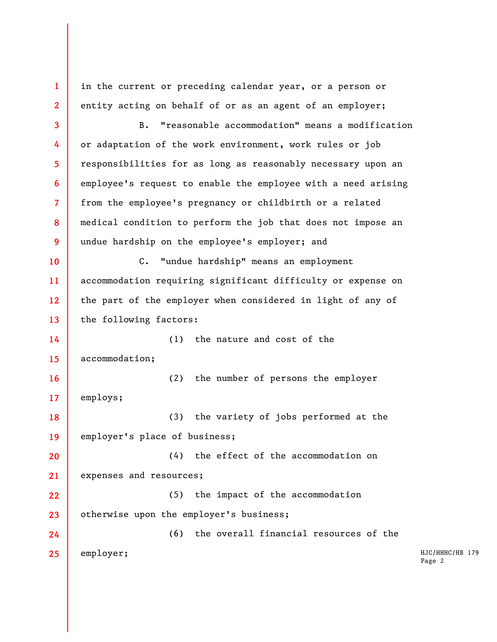HJC/HHHC/HB 179 Page 2 **1 2 3 4 5 6 7 8 9 10 11 12 13 14 15 16 17 18 19 20 21 22 23 24 25**  in the current or preceding calendar year, or a person or entity acting on behalf of or as an agent of an employer; B. "reasonable accommodation" means a modification or adaptation of the work environment, work rules or job responsibilities for as long as reasonably necessary upon an employee's request to enable the employee with a need arising from the employee's pregnancy or childbirth or a related medical condition to perform the job that does not impose an undue hardship on the employee's employer; and C. "undue hardship" means an employment accommodation requiring significant difficulty or expense on the part of the employer when considered in light of any of the following factors: (1) the nature and cost of the accommodation; (2) the number of persons the employer employs; (3) the variety of jobs performed at the employer's place of business; (4) the effect of the accommodation on expenses and resources; (5) the impact of the accommodation otherwise upon the employer's business; (6) the overall financial resources of the employer;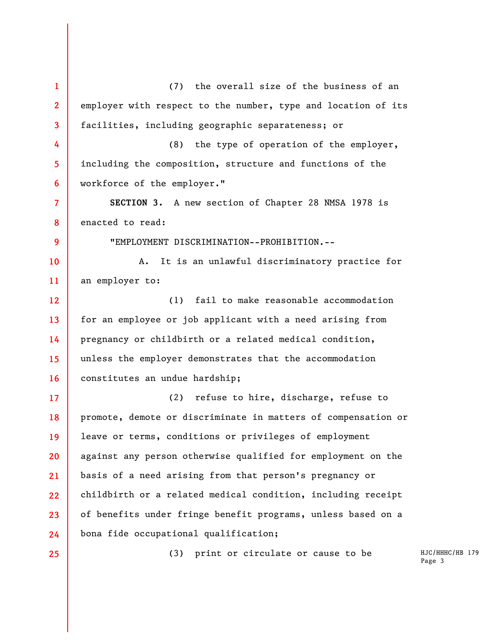HJC/HHHC/HB 179 Page 3 **1 2 3 4 5 6 7 8 9 10 11 12 13 14 15 16 17 18 19 20 21 22 23 24 25**  (7) the overall size of the business of an employer with respect to the number, type and location of its facilities, including geographic separateness; or (8) the type of operation of the employer, including the composition, structure and functions of the workforce of the employer." **SECTION 3.** A new section of Chapter 28 NMSA 1978 is enacted to read: "EMPLOYMENT DISCRIMINATION--PROHIBITION.-- A. It is an unlawful discriminatory practice for an employer to: (1) fail to make reasonable accommodation for an employee or job applicant with a need arising from pregnancy or childbirth or a related medical condition, unless the employer demonstrates that the accommodation constitutes an undue hardship; (2) refuse to hire, discharge, refuse to promote, demote or discriminate in matters of compensation or leave or terms, conditions or privileges of employment against any person otherwise qualified for employment on the basis of a need arising from that person's pregnancy or childbirth or a related medical condition, including receipt of benefits under fringe benefit programs, unless based on a bona fide occupational qualification; (3) print or circulate or cause to be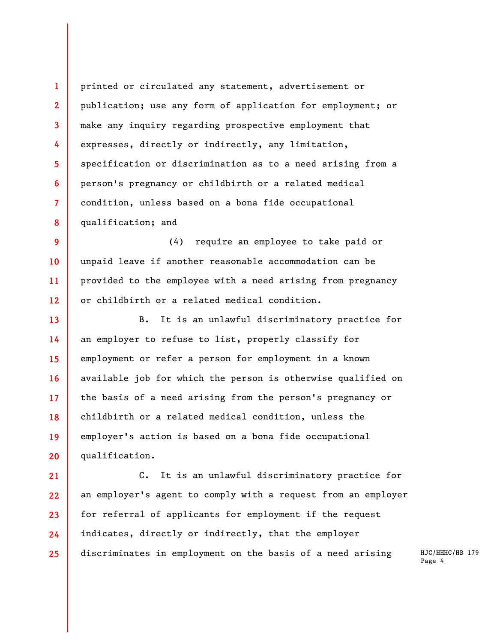printed or circulated any statement, advertisement or publication; use any form of application for employment; or make any inquiry regarding prospective employment that expresses, directly or indirectly, any limitation, specification or discrimination as to a need arising from a person's pregnancy or childbirth or a related medical condition, unless based on a bona fide occupational qualification; and

**1** 

**2** 

**3** 

**4** 

**5** 

**6** 

**7** 

**8** 

**9 10 11 12**  (4) require an employee to take paid or unpaid leave if another reasonable accommodation can be provided to the employee with a need arising from pregnancy or childbirth or a related medical condition.

**13 14 15 16 17 18 19 20**  B. It is an unlawful discriminatory practice for an employer to refuse to list, properly classify for employment or refer a person for employment in a known available job for which the person is otherwise qualified on the basis of a need arising from the person's pregnancy or childbirth or a related medical condition, unless the employer's action is based on a bona fide occupational qualification.

**21 22 23 24 25**  C. It is an unlawful discriminatory practice for an employer's agent to comply with a request from an employer for referral of applicants for employment if the request indicates, directly or indirectly, that the employer discriminates in employment on the basis of a need arising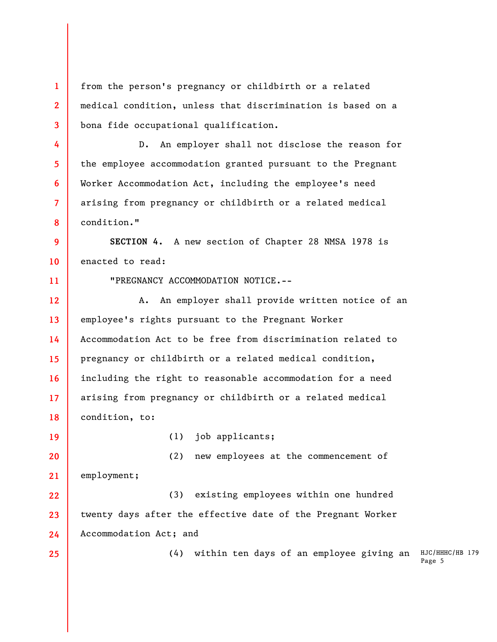(4) within ten days of an employee giving an HJC/HHHC/HB 179 Page 5 **1 2 3 4 5 6 7 8 9 10 11 12 13 14 15 16 17 18 19 20 21 22 23 24 25**  from the person's pregnancy or childbirth or a related medical condition, unless that discrimination is based on a bona fide occupational qualification. D. An employer shall not disclose the reason for the employee accommodation granted pursuant to the Pregnant Worker Accommodation Act, including the employee's need arising from pregnancy or childbirth or a related medical condition." **SECTION 4.** A new section of Chapter 28 NMSA 1978 is enacted to read: "PREGNANCY ACCOMMODATION NOTICE.-- A. An employer shall provide written notice of an employee's rights pursuant to the Pregnant Worker Accommodation Act to be free from discrimination related to pregnancy or childbirth or a related medical condition, including the right to reasonable accommodation for a need arising from pregnancy or childbirth or a related medical condition, to: (1) job applicants; (2) new employees at the commencement of employment; (3) existing employees within one hundred twenty days after the effective date of the Pregnant Worker Accommodation Act; and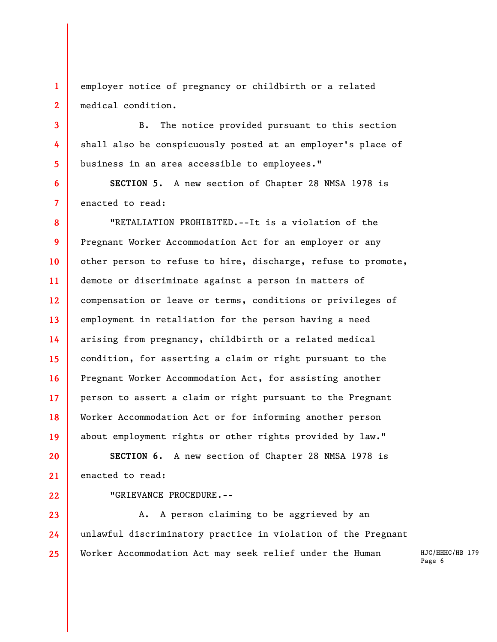**1 2**  employer notice of pregnancy or childbirth or a related medical condition.

B. The notice provided pursuant to this section shall also be conspicuously posted at an employer's place of business in an area accessible to employees."

**SECTION 5.** A new section of Chapter 28 NMSA 1978 is enacted to read:

**8 9 10 11 12 13 14 15 16 17 18 19**  "RETALIATION PROHIBITED.--It is a violation of the Pregnant Worker Accommodation Act for an employer or any other person to refuse to hire, discharge, refuse to promote, demote or discriminate against a person in matters of compensation or leave or terms, conditions or privileges of employment in retaliation for the person having a need arising from pregnancy, childbirth or a related medical condition, for asserting a claim or right pursuant to the Pregnant Worker Accommodation Act, for assisting another person to assert a claim or right pursuant to the Pregnant Worker Accommodation Act or for informing another person about employment rights or other rights provided by law."

**20 21 SECTION 6.** A new section of Chapter 28 NMSA 1978 is enacted to read:

**22** 

**3** 

**4** 

**5** 

**6** 

**7** 

"GRIEVANCE PROCEDURE.--

**23 24 25**  A. A person claiming to be aggrieved by an unlawful discriminatory practice in violation of the Pregnant Worker Accommodation Act may seek relief under the Human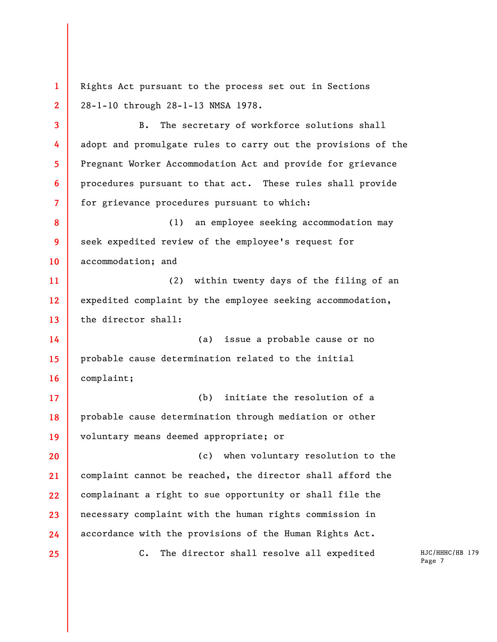Rights Act pursuant to the process set out in Sections 28-1-10 through 28-1-13 NMSA 1978.

B. The secretary of workforce solutions shall adopt and promulgate rules to carry out the provisions of the Pregnant Worker Accommodation Act and provide for grievance procedures pursuant to that act. These rules shall provide for grievance procedures pursuant to which:

**8 9 10**  (1) an employee seeking accommodation may seek expedited review of the employee's request for accommodation; and

**11 12 13**  (2) within twenty days of the filing of an expedited complaint by the employee seeking accommodation, the director shall:

**14 15 16**  (a) issue a probable cause or no probable cause determination related to the initial complaint;

**17 18 19**  (b) initiate the resolution of a probable cause determination through mediation or other voluntary means deemed appropriate; or

**20 21 22 23 24**  (c) when voluntary resolution to the complaint cannot be reached, the director shall afford the complainant a right to sue opportunity or shall file the necessary complaint with the human rights commission in accordance with the provisions of the Human Rights Act.

**25** 

**1** 

**2** 

**3** 

**4** 

**5** 

**6** 

**7** 

C. The director shall resolve all expedited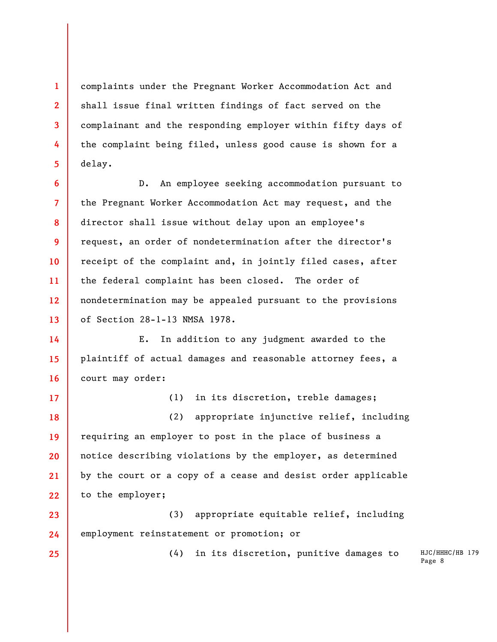complaints under the Pregnant Worker Accommodation Act and shall issue final written findings of fact served on the complainant and the responding employer within fifty days of the complaint being filed, unless good cause is shown for a delay.

**1** 

**2** 

**3** 

**4** 

**5** 

**17** 

**25** 

**6 7 8 9 10 11 12 13**  D. An employee seeking accommodation pursuant to the Pregnant Worker Accommodation Act may request, and the director shall issue without delay upon an employee's request, an order of nondetermination after the director's receipt of the complaint and, in jointly filed cases, after the federal complaint has been closed. The order of nondetermination may be appealed pursuant to the provisions of Section 28-1-13 NMSA 1978.

**14 15 16**  E. In addition to any judgment awarded to the plaintiff of actual damages and reasonable attorney fees, a court may order:

(1) in its discretion, treble damages;

**18 19 20 21 22**  (2) appropriate injunctive relief, including requiring an employer to post in the place of business a notice describing violations by the employer, as determined by the court or a copy of a cease and desist order applicable to the employer;

**23 24**  (3) appropriate equitable relief, including employment reinstatement or promotion; or

(4) in its discretion, punitive damages to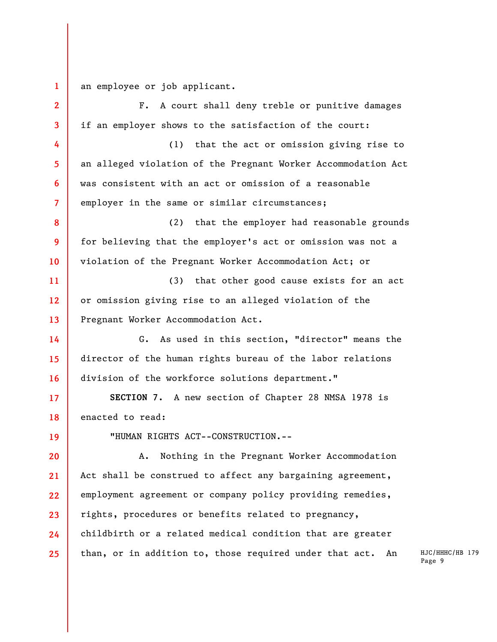**1**  an employee or job applicant.

**2 3 4 5 6 7 8 9 10 11 12 13 14 15 16 17 18 19 20 21 22 23 24 25**  F. A court shall deny treble or punitive damages if an employer shows to the satisfaction of the court: (1) that the act or omission giving rise to an alleged violation of the Pregnant Worker Accommodation Act was consistent with an act or omission of a reasonable employer in the same or similar circumstances; (2) that the employer had reasonable grounds for believing that the employer's act or omission was not a violation of the Pregnant Worker Accommodation Act; or (3) that other good cause exists for an act or omission giving rise to an alleged violation of the Pregnant Worker Accommodation Act. G. As used in this section, "director" means the director of the human rights bureau of the labor relations division of the workforce solutions department." **SECTION 7.** A new section of Chapter 28 NMSA 1978 is enacted to read: "HUMAN RIGHTS ACT--CONSTRUCTION.-- A. Nothing in the Pregnant Worker Accommodation Act shall be construed to affect any bargaining agreement, employment agreement or company policy providing remedies, rights, procedures or benefits related to pregnancy, childbirth or a related medical condition that are greater than, or in addition to, those required under that act. An